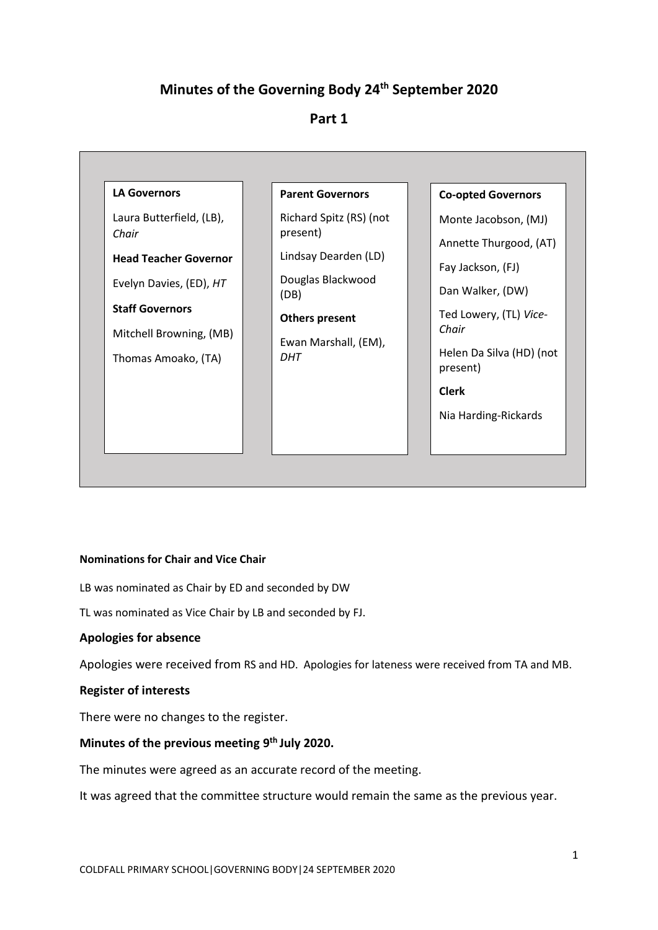# **Minutes of the Governing Body 24th September 2020**

## **Part 1**



#### **Nominations for Chair and Vice Chair**

LB was nominated as Chair by ED and seconded by DW

TL was nominated as Vice Chair by LB and seconded by FJ.

## **Apologies for absence**

Apologies were received from RS and HD. Apologies for lateness were received from TA and MB.

#### **Register of interests**

There were no changes to the register.

## **Minutes of the previous meeting 9 th July 2020.**

The minutes were agreed as an accurate record of the meeting.

It was agreed that the committee structure would remain the same as the previous year.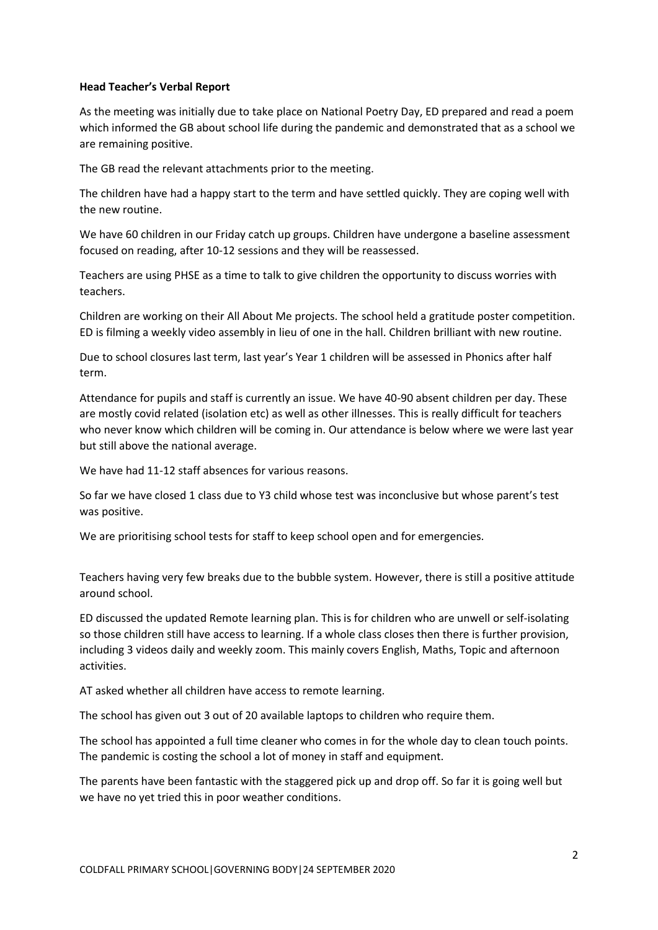#### **Head Teacher's Verbal Report**

As the meeting was initially due to take place on National Poetry Day, ED prepared and read a poem which informed the GB about school life during the pandemic and demonstrated that as a school we are remaining positive.

The GB read the relevant attachments prior to the meeting.

The children have had a happy start to the term and have settled quickly. They are coping well with the new routine.

We have 60 children in our Friday catch up groups. Children have undergone a baseline assessment focused on reading, after 10-12 sessions and they will be reassessed.

Teachers are using PHSE as a time to talk to give children the opportunity to discuss worries with teachers.

Children are working on their All About Me projects. The school held a gratitude poster competition. ED is filming a weekly video assembly in lieu of one in the hall. Children brilliant with new routine.

Due to school closures last term, last year's Year 1 children will be assessed in Phonics after half term.

Attendance for pupils and staff is currently an issue. We have 40-90 absent children per day. These are mostly covid related (isolation etc) as well as other illnesses. This is really difficult for teachers who never know which children will be coming in. Our attendance is below where we were last year but still above the national average.

We have had 11-12 staff absences for various reasons.

So far we have closed 1 class due to Y3 child whose test was inconclusive but whose parent's test was positive.

We are prioritising school tests for staff to keep school open and for emergencies.

Teachers having very few breaks due to the bubble system. However, there is still a positive attitude around school.

ED discussed the updated Remote learning plan. This is for children who are unwell or self-isolating so those children still have access to learning. If a whole class closes then there is further provision, including 3 videos daily and weekly zoom. This mainly covers English, Maths, Topic and afternoon activities.

AT asked whether all children have access to remote learning.

The school has given out 3 out of 20 available laptops to children who require them.

The school has appointed a full time cleaner who comes in for the whole day to clean touch points. The pandemic is costing the school a lot of money in staff and equipment.

The parents have been fantastic with the staggered pick up and drop off. So far it is going well but we have no yet tried this in poor weather conditions.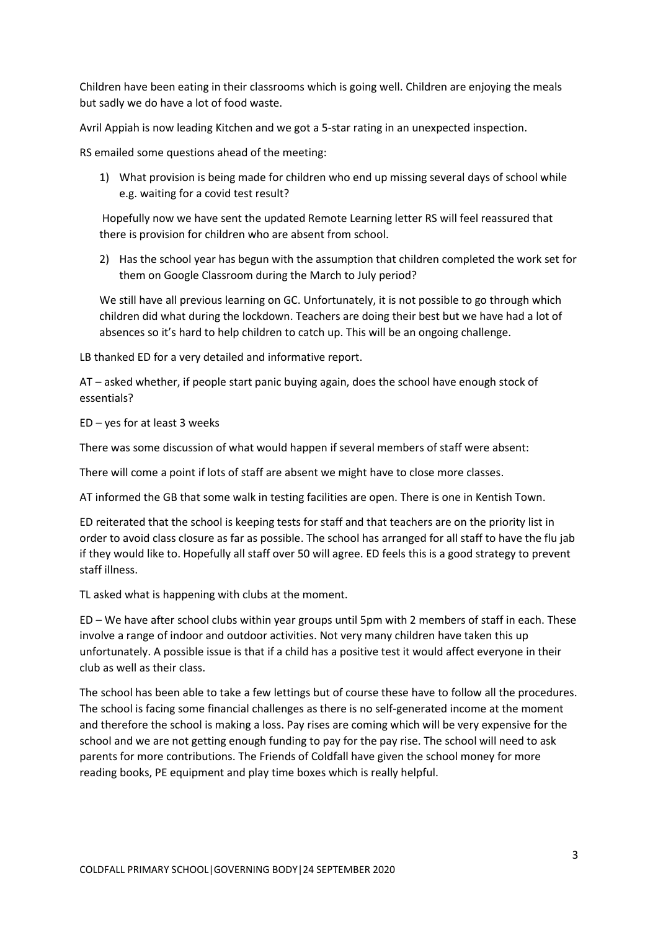Children have been eating in their classrooms which is going well. Children are enjoying the meals but sadly we do have a lot of food waste.

Avril Appiah is now leading Kitchen and we got a 5-star rating in an unexpected inspection.

RS emailed some questions ahead of the meeting:

1) What provision is being made for children who end up missing several days of school while e.g. waiting for a covid test result?

Hopefully now we have sent the updated Remote Learning letter RS will feel reassured that there is provision for children who are absent from school.

2) Has the school year has begun with the assumption that children completed the work set for them on Google Classroom during the March to July period?

We still have all previous learning on GC. Unfortunately, it is not possible to go through which children did what during the lockdown. Teachers are doing their best but we have had a lot of absences so it's hard to help children to catch up. This will be an ongoing challenge.

LB thanked ED for a very detailed and informative report.

AT – asked whether, if people start panic buying again, does the school have enough stock of essentials?

ED – yes for at least 3 weeks

There was some discussion of what would happen if several members of staff were absent:

There will come a point if lots of staff are absent we might have to close more classes.

AT informed the GB that some walk in testing facilities are open. There is one in Kentish Town.

ED reiterated that the school is keeping tests for staff and that teachers are on the priority list in order to avoid class closure as far as possible. The school has arranged for all staff to have the flu jab if they would like to. Hopefully all staff over 50 will agree. ED feels this is a good strategy to prevent staff illness.

TL asked what is happening with clubs at the moment.

ED – We have after school clubs within year groups until 5pm with 2 members of staff in each. These involve a range of indoor and outdoor activities. Not very many children have taken this up unfortunately. A possible issue is that if a child has a positive test it would affect everyone in their club as well as their class.

The school has been able to take a few lettings but of course these have to follow all the procedures. The school is facing some financial challenges as there is no self-generated income at the moment and therefore the school is making a loss. Pay rises are coming which will be very expensive for the school and we are not getting enough funding to pay for the pay rise. The school will need to ask parents for more contributions. The Friends of Coldfall have given the school money for more reading books, PE equipment and play time boxes which is really helpful.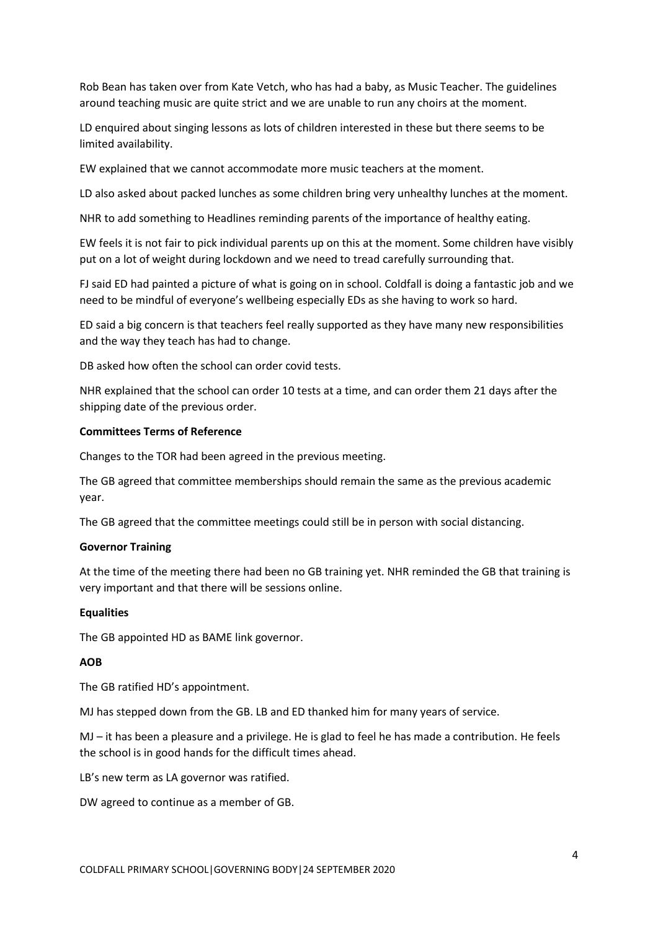Rob Bean has taken over from Kate Vetch, who has had a baby, as Music Teacher. The guidelines around teaching music are quite strict and we are unable to run any choirs at the moment.

LD enquired about singing lessons as lots of children interested in these but there seems to be limited availability.

EW explained that we cannot accommodate more music teachers at the moment.

LD also asked about packed lunches as some children bring very unhealthy lunches at the moment.

NHR to add something to Headlines reminding parents of the importance of healthy eating.

EW feels it is not fair to pick individual parents up on this at the moment. Some children have visibly put on a lot of weight during lockdown and we need to tread carefully surrounding that.

FJ said ED had painted a picture of what is going on in school. Coldfall is doing a fantastic job and we need to be mindful of everyone's wellbeing especially EDs as she having to work so hard.

ED said a big concern is that teachers feel really supported as they have many new responsibilities and the way they teach has had to change.

DB asked how often the school can order covid tests.

NHR explained that the school can order 10 tests at a time, and can order them 21 days after the shipping date of the previous order.

#### **Committees Terms of Reference**

Changes to the TOR had been agreed in the previous meeting.

The GB agreed that committee memberships should remain the same as the previous academic year.

The GB agreed that the committee meetings could still be in person with social distancing.

#### **Governor Training**

At the time of the meeting there had been no GB training yet. NHR reminded the GB that training is very important and that there will be sessions online.

#### **Equalities**

The GB appointed HD as BAME link governor.

#### **AOB**

The GB ratified HD's appointment.

MJ has stepped down from the GB. LB and ED thanked him for many years of service.

MJ – it has been a pleasure and a privilege. He is glad to feel he has made a contribution. He feels the school is in good hands for the difficult times ahead.

LB's new term as LA governor was ratified.

DW agreed to continue as a member of GB.